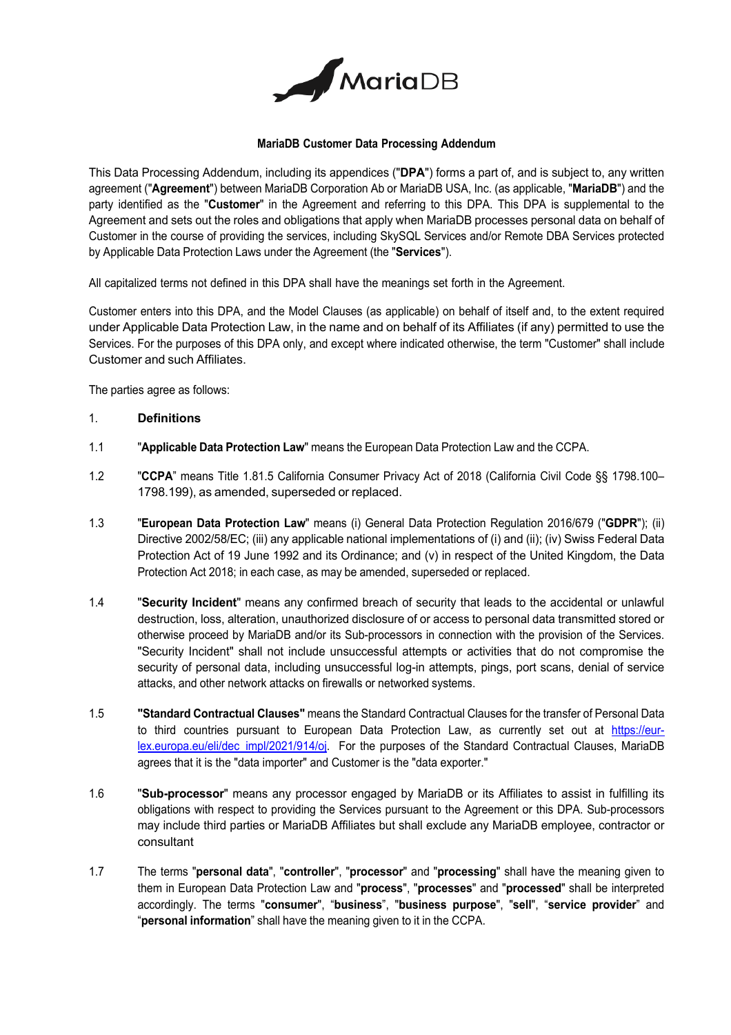

#### **MariaDB Customer Data Processing Addendum**

This Data Processing Addendum, including its appendices ("**DPA**") forms a part of, and is subject to, any written agreement ("**Agreement**") between MariaDB Corporation Ab or MariaDB USA, Inc. (as applicable, "**MariaDB**") and the party identified as the "**Customer**" in the Agreement and referring to this DPA. This DPA is supplemental to the Agreement and sets out the roles and obligations that apply when MariaDB processes personal data on behalf of Customer in the course of providing the services, including SkySQL Services and/or Remote DBA Services protected by Applicable Data Protection Laws under the Agreement (the "**Services**").

All capitalized terms not defined in this DPA shall have the meanings set forth in the Agreement.

Customer enters into this DPA, and the Model Clauses (as applicable) on behalf of itself and, to the extent required under Applicable Data Protection Law, in the name and on behalf of its Affiliates (if any) permitted to use the Services. For the purposes of this DPA only, and except where indicated otherwise, the term "Customer" shall include Customer and such Affiliates.

The parties agree as follows:

### 1. **Definitions**

- 1.1 "**Applicable Data Protection Law**" means the European Data Protection Law and the CCPA.
- 1.2 "**CCPA**" means Title 1.81.5 California Consumer Privacy Act of 2018 (California Civil Code §§ 1798.100– 1798.199), as amended, superseded or replaced.
- 1.3 "**European Data Protection Law**" means (i) General Data Protection Regulation 2016/679 ("**GDPR**"); (ii) Directive 2002/58/EC; (iii) any applicable national implementations of (i) and (ii); (iv) Swiss Federal Data Protection Act of 19 June 1992 and its Ordinance; and (v) in respect of the United Kingdom, the Data Protection Act 2018; in each case, as may be amended, superseded or replaced.
- 1.4 "**Security Incident**" means any confirmed breach of security that leads to the accidental or unlawful destruction, loss, alteration, unauthorized disclosure of or access to personal data transmitted stored or otherwise proceed by MariaDB and/or its Sub-processors in connection with the provision of the Services. "Security Incident" shall not include unsuccessful attempts or activities that do not compromise the security of personal data, including unsuccessful log-in attempts, pings, port scans, denial of service attacks, and other network attacks on firewalls or networked systems.
- 1.5 **"Standard Contractual Clauses"** means the Standard Contractual Clauses for the transfer of Personal Data to third countries pursuant to European Data Protection Law, as currently set out at https://eurlex.europa.eu/eli/dec\_impl/2021/914/oj. For the purposes of the Standard Contractual Clauses, MariaDB agrees that it is the "data importer" and Customer is the "data exporter."
- 1.6 "**Sub-processor**" means any processor engaged by MariaDB or its Affiliates to assist in fulfilling its obligations with respect to providing the Services pursuant to the Agreement or this DPA. Sub-processors may include third parties or MariaDB Affiliates but shall exclude any MariaDB employee, contractor or consultant
- 1.7 The terms "**personal data**", "**controller**", "**processor**" and "**processing**" shall have the meaning given to them in European Data Protection Law and "**process**", "**processes**" and "**processed**" shall be interpreted accordingly. The terms "**consumer**", "**business**", "**business purpose**", "**sell**", "**service provider**" and "**personal information**" shall have the meaning given to it in the CCPA.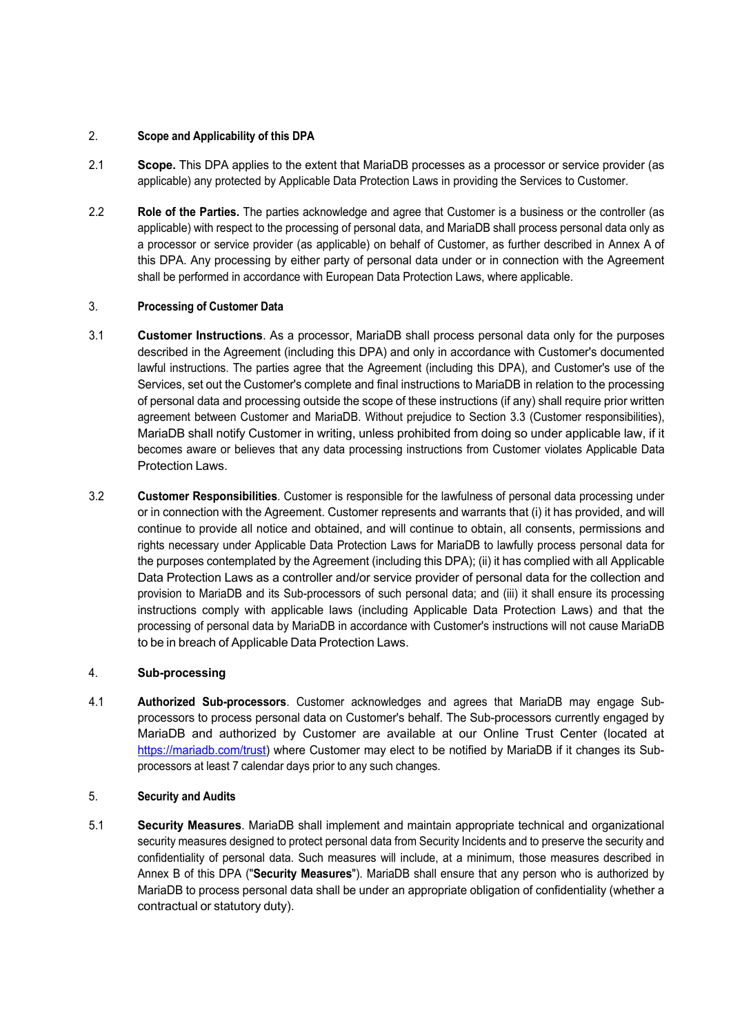# 2. **Scope and Applicability of this DPA**

- 2.1 **Scope.** This DPA applies to the extent that MariaDB processes as a processor or service provider (as applicable) any protected by Applicable Data Protection Laws in providing the Services to Customer.
- 2.2 **Role of the Parties.** The parties acknowledge and agree that Customer is a business or the controller (as applicable) with respect to the processing of personal data, and MariaDB shall process personal data only as a processor or service provider (as applicable) on behalf of Customer, as further described in Annex A of this DPA. Any processing by either party of personal data under or in connection with the Agreement shall be performed in accordance with European Data Protection Laws, where applicable.

### 3. **Processing of Customer Data**

- 3.1 **Customer Instructions**. As a processor, MariaDB shall process personal data only for the purposes described in the Agreement (including this DPA) and only in accordance with Customer's documented lawful instructions. The parties agree that the Agreement (including this DPA), and Customer's use of the Services, set out the Customer's complete and final instructions to MariaDB in relation to the processing of personal data and processing outside the scope of these instructions (if any) shall require prior written agreement between Customer and MariaDB. Without prejudice to Section 3.3 (Customer responsibilities), MariaDB shall notify Customer in writing, unless prohibited from doing so under applicable law, if it becomes aware or believes that any data processing instructions from Customer violates Applicable Data Protection Laws.
- 3.2 **Customer Responsibilities**. Customer is responsible for the lawfulness of personal data processing under or in connection with the Agreement. Customer represents and warrants that (i) it has provided, and will continue to provide all notice and obtained, and will continue to obtain, all consents, permissions and rights necessary under Applicable Data Protection Laws for MariaDB to lawfully process personal data for the purposes contemplated by the Agreement (including this DPA); (ii) it has complied with all Applicable Data Protection Laws as a controller and/or service provider of personal data for the collection and provision to MariaDB and its Sub-processors of such personal data; and (iii) it shall ensure its processing instructions comply with applicable laws (including Applicable Data Protection Laws) and that the processing of personal data by MariaDB in accordance with Customer's instructions will not cause MariaDB to be in breach of Applicable Data Protection Laws.

# 4. **Sub-processing**

4.1 **Authorized Sub-processors**. Customer acknowledges and agrees that MariaDB may engage Subprocessors to process personal data on Customer's behalf. The Sub-processors currently engaged by MariaDB and authorized by Customer are available at our Online Trust Center (located at https://mariadb.com/trust) where Customer may elect to be notified by MariaDB if it changes its Subprocessors at least 7 calendar days prior to any such changes.

# 5. **Security and Audits**

5.1 **Security Measures**. MariaDB shall implement and maintain appropriate technical and organizational security measures designed to protect personal data from Security Incidents and to preserve the security and confidentiality of personal data. Such measures will include, at a minimum, those measures described in Annex B of this DPA ("**Security Measures**"). MariaDB shall ensure that any person who is authorized by MariaDB to process personal data shall be under an appropriate obligation of confidentiality (whether a contractual or statutory duty).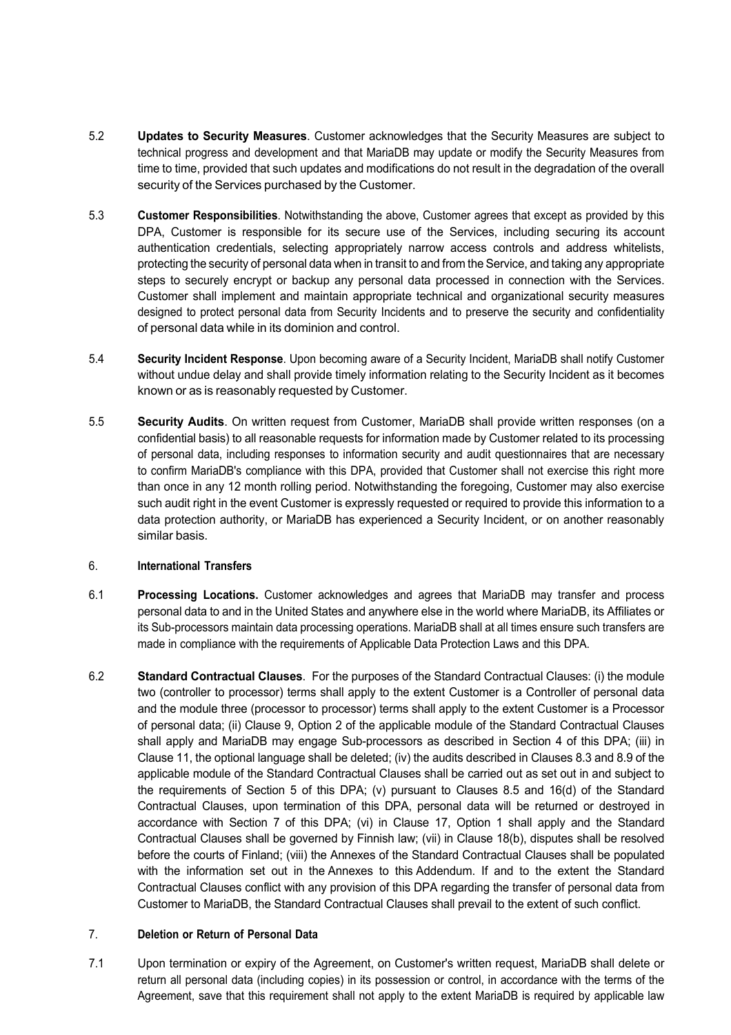- 5.2 **Updates to Security Measures**. Customer acknowledges that the Security Measures are subject to technical progress and development and that MariaDB may update or modify the Security Measures from time to time, provided that such updates and modifications do not result in the degradation of the overall security of the Services purchased by the Customer.
- 5.3 **Customer Responsibilities**. Notwithstanding the above, Customer agrees that except as provided by this DPA, Customer is responsible for its secure use of the Services, including securing its account authentication credentials, selecting appropriately narrow access controls and address whitelists, protecting the security of personal data when in transit to and from the Service, and taking any appropriate steps to securely encrypt or backup any personal data processed in connection with the Services. Customer shall implement and maintain appropriate technical and organizational security measures designed to protect personal data from Security Incidents and to preserve the security and confidentiality of personal data while in its dominion and control.
- 5.4 **Security Incident Response**. Upon becoming aware of a Security Incident, MariaDB shall notify Customer without undue delay and shall provide timely information relating to the Security Incident as it becomes known or as is reasonably requested by Customer.
- 5.5 **Security Audits**. On written request from Customer, MariaDB shall provide written responses (on a confidential basis) to all reasonable requests for information made by Customer related to its processing of personal data, including responses to information security and audit questionnaires that are necessary to confirm MariaDB's compliance with this DPA, provided that Customer shall not exercise this right more than once in any 12 month rolling period. Notwithstanding the foregoing, Customer may also exercise such audit right in the event Customer is expressly requested or required to provide this information to a data protection authority, or MariaDB has experienced a Security Incident, or on another reasonably similar basis.

# 6. **International Transfers**

- 6.1 **Processing Locations.** Customer acknowledges and agrees that MariaDB may transfer and process personal data to and in the United States and anywhere else in the world where MariaDB, its Affiliates or its Sub-processors maintain data processing operations. MariaDB shall at all times ensure such transfers are made in compliance with the requirements of Applicable Data Protection Laws and this DPA.
- 6.2 **Standard Contractual Clauses**. For the purposes of the Standard Contractual Clauses: (i) the module two (controller to processor) terms shall apply to the extent Customer is a Controller of personal data and the module three (processor to processor) terms shall apply to the extent Customer is a Processor of personal data; (ii) Clause 9, Option 2 of the applicable module of the Standard Contractual Clauses shall apply and MariaDB may engage Sub-processors as described in Section 4 of this DPA; (iii) in Clause 11, the optional language shall be deleted; (iv) the audits described in Clauses 8.3 and 8.9 of the applicable module of the Standard Contractual Clauses shall be carried out as set out in and subject to the requirements of Section 5 of this DPA; (v) pursuant to Clauses 8.5 and 16(d) of the Standard Contractual Clauses, upon termination of this DPA, personal data will be returned or destroyed in accordance with Section 7 of this DPA; (vi) in Clause 17, Option 1 shall apply and the Standard Contractual Clauses shall be governed by Finnish law; (vii) in Clause 18(b), disputes shall be resolved before the courts of Finland; (viii) the Annexes of the Standard Contractual Clauses shall be populated with the information set out in the Annexes to this Addendum. If and to the extent the Standard Contractual Clauses conflict with any provision of this DPA regarding the transfer of personal data from Customer to MariaDB, the Standard Contractual Clauses shall prevail to the extent of such conflict.

# 7. **Deletion or Return of Personal Data**

7.1 Upon termination or expiry of the Agreement, on Customer's written request, MariaDB shall delete or return all personal data (including copies) in its possession or control, in accordance with the terms of the Agreement, save that this requirement shall not apply to the extent MariaDB is required by applicable law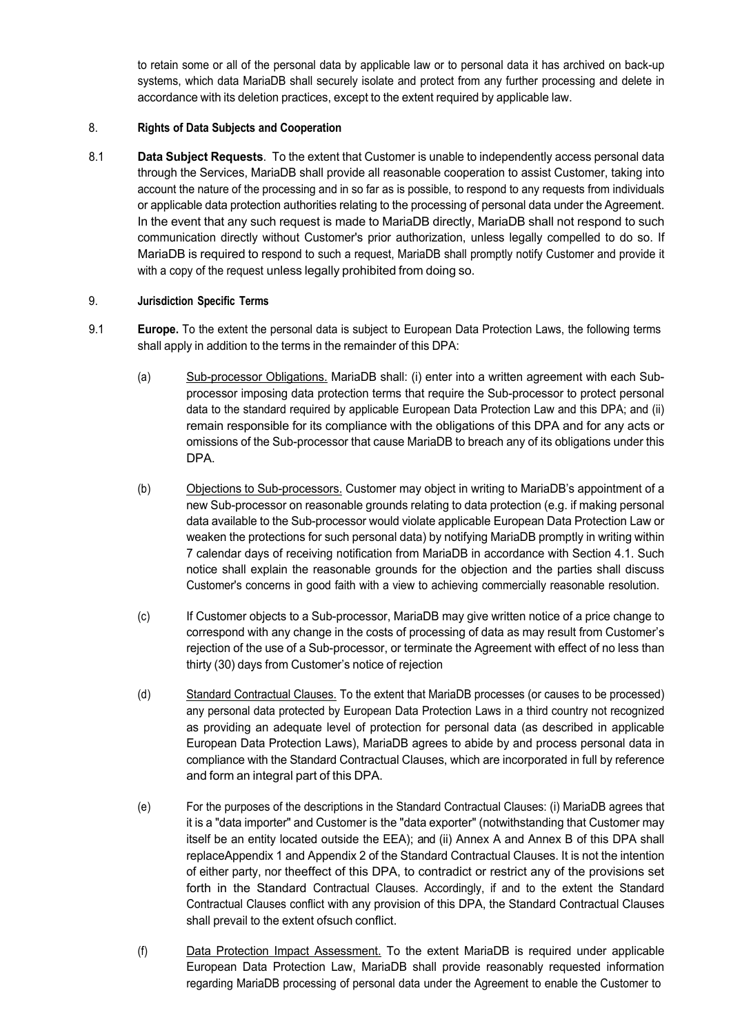to retain some or all of the personal data by applicable law or to personal data it has archived on back-up systems, which data MariaDB shall securely isolate and protect from any further processing and delete in accordance with its deletion practices, except to the extent required by applicable law.

# 8. **Rights of Data Subjects and Cooperation**

8.1 **Data Subject Requests**. To the extent that Customer is unable to independently access personal data through the Services, MariaDB shall provide all reasonable cooperation to assist Customer, taking into account the nature of the processing and in so far as is possible, to respond to any requests from individuals or applicable data protection authorities relating to the processing of personal data under the Agreement. In the event that any such request is made to MariaDB directly, MariaDB shall not respond to such communication directly without Customer's prior authorization, unless legally compelled to do so. If MariaDB is required to respond to such a request, MariaDB shall promptly notify Customer and provide it with a copy of the request unless legally prohibited from doing so.

# 9. **Jurisdiction Specific Terms**

- 9.1 **Europe.** To the extent the personal data is subject to European Data Protection Laws, the following terms shall apply in addition to the terms in the remainder of this DPA:
	- (a) Sub-processor Obligations. MariaDB shall: (i) enter into a written agreement with each Subprocessor imposing data protection terms that require the Sub-processor to protect personal data to the standard required by applicable European Data Protection Law and this DPA; and (ii) remain responsible for its compliance with the obligations of this DPA and for any acts or omissions of the Sub-processor that cause MariaDB to breach any of its obligations under this DPA.
	- (b) Objections to Sub-processors. Customer may object in writing to MariaDB's appointment of a new Sub-processor on reasonable grounds relating to data protection (e.g. if making personal data available to the Sub-processor would violate applicable European Data Protection Law or weaken the protections for such personal data) by notifying MariaDB promptly in writing within 7 calendar days of receiving notification from MariaDB in accordance with Section 4.1. Such notice shall explain the reasonable grounds for the objection and the parties shall discuss Customer's concerns in good faith with a view to achieving commercially reasonable resolution.
	- (c) If Customer objects to a Sub-processor, MariaDB may give written notice of a price change to correspond with any change in the costs of processing of data as may result from Customer's rejection of the use of a Sub-processor, or terminate the Agreement with effect of no less than thirty (30) days from Customer's notice of rejection
	- (d) Standard Contractual Clauses. To the extent that MariaDB processes (or causes to be processed) any personal data protected by European Data Protection Laws in a third country not recognized as providing an adequate level of protection for personal data (as described in applicable European Data Protection Laws), MariaDB agrees to abide by and process personal data in compliance with the Standard Contractual Clauses, which are incorporated in full by reference and form an integral part of this DPA.
	- (e) For the purposes of the descriptions in the Standard Contractual Clauses: (i) MariaDB agrees that it is a "data importer" and Customer is the "data exporter" (notwithstanding that Customer may itself be an entity located outside the EEA); and (ii) Annex A and Annex B of this DPA shall replaceAppendix 1 and Appendix 2 of the Standard Contractual Clauses. It is not the intention of either party, nor theeffect of this DPA, to contradict or restrict any of the provisions set forth in the Standard Contractual Clauses. Accordingly, if and to the extent the Standard Contractual Clauses conflict with any provision of this DPA, the Standard Contractual Clauses shall prevail to the extent ofsuch conflict.
	- (f) Data Protection Impact Assessment. To the extent MariaDB is required under applicable European Data Protection Law, MariaDB shall provide reasonably requested information regarding MariaDB processing of personal data under the Agreement to enable the Customer to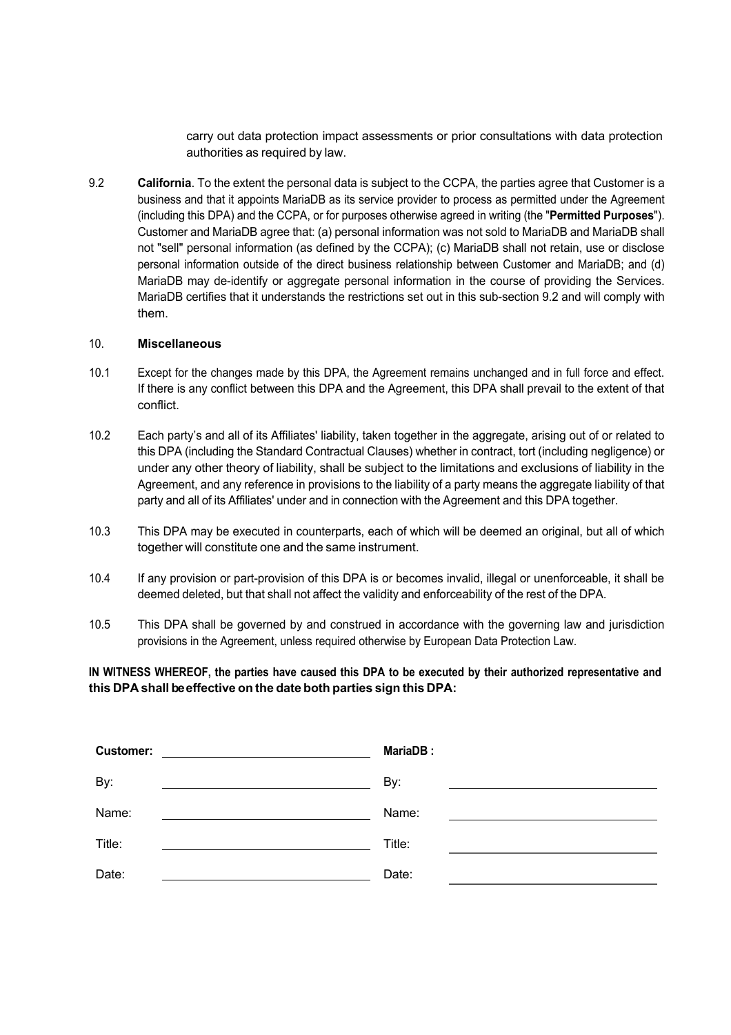carry out data protection impact assessments or prior consultations with data protection authorities as required by law.

9.2 **California**. To the extent the personal data is subject to the CCPA, the parties agree that Customer is a business and that it appoints MariaDB as its service provider to process as permitted under the Agreement (including this DPA) and the CCPA, or for purposes otherwise agreed in writing (the "**Permitted Purposes**"). Customer and MariaDB agree that: (a) personal information was not sold to MariaDB and MariaDB shall not "sell" personal information (as defined by the CCPA); (c) MariaDB shall not retain, use or disclose personal information outside of the direct business relationship between Customer and MariaDB; and (d) MariaDB may de-identify or aggregate personal information in the course of providing the Services. MariaDB certifies that it understands the restrictions set out in this sub-section 9.2 and will comply with them.

#### 10. **Miscellaneous**

- 10.1 Except for the changes made by this DPA, the Agreement remains unchanged and in full force and effect. If there is any conflict between this DPA and the Agreement, this DPA shall prevail to the extent of that conflict.
- 10.2 Each party's and all of its Affiliates' liability, taken together in the aggregate, arising out of or related to this DPA (including the Standard Contractual Clauses) whether in contract, tort (including negligence) or under any other theory of liability, shall be subject to the limitations and exclusions of liability in the Agreement, and any reference in provisions to the liability of a party means the aggregate liability of that party and all of its Affiliates' under and in connection with the Agreement and this DPA together.
- 10.3 This DPA may be executed in counterparts, each of which will be deemed an original, but all of which together will constitute one and the same instrument.
- 10.4 If any provision or part-provision of this DPA is or becomes invalid, illegal or unenforceable, it shall be deemed deleted, but that shall not affect the validity and enforceability of the rest of the DPA.
- 10.5 This DPA shall be governed by and construed in accordance with the governing law and jurisdiction provisions in the Agreement, unless required otherwise by European Data Protection Law.

# IN WITNESS WHEREOF, the parties have caused this DPA to be executed by their authorized representative and **this DPA shall be effective on the date both parties sign this DPA:**

| <b>Customer:</b><br><u> 1980 - Andrea Britain, politik eta politik eta politik eta politik eta politik eta politik eta politik eta p</u> | <b>MariaDB:</b> |
|------------------------------------------------------------------------------------------------------------------------------------------|-----------------|
| By:<br><u> Andreas Andreas Andreas Andreas Andreas Andreas Andreas Andreas Andreas Andreas Andreas Andreas Andreas Andr</u>              | By:             |
| Name:                                                                                                                                    | Name:           |
| Title:<br><u> 1989 - Johann Barbara, martin amerikan personal (</u>                                                                      | Title:          |
| Date:                                                                                                                                    | Date:           |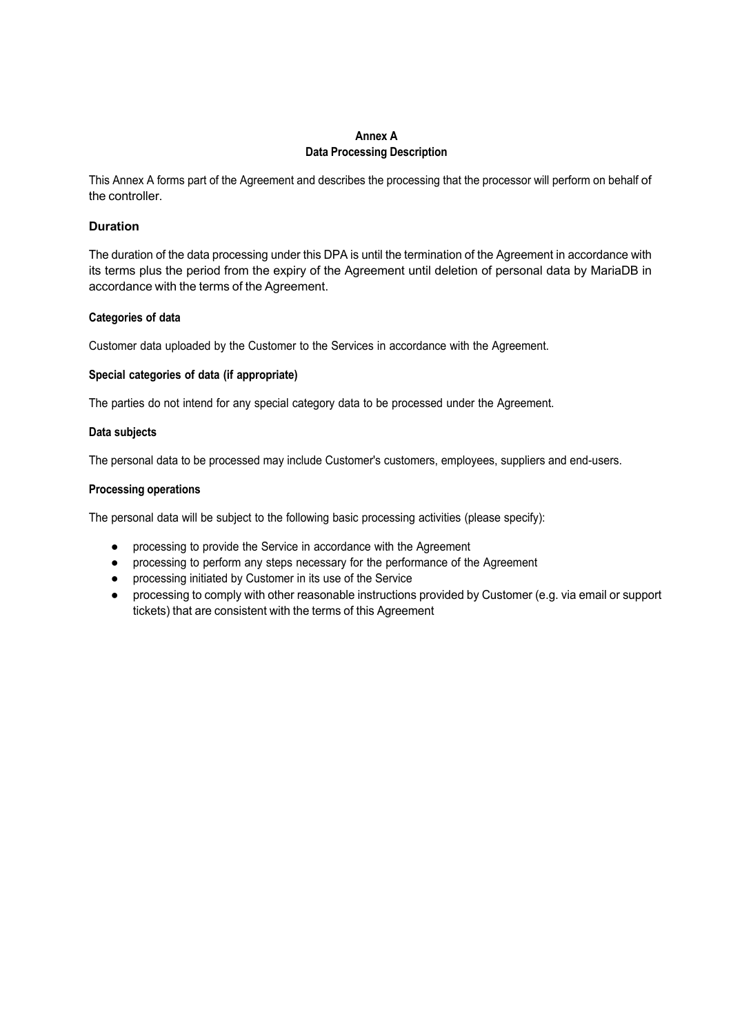## **Annex A Data Processing Description**

This Annex A forms part of the Agreement and describes the processing that the processor will perform on behalf of the controller.

# **Duration**

The duration of the data processing under this DPA is until the termination of the Agreement in accordance with its terms plus the period from the expiry of the Agreement until deletion of personal data by MariaDB in accordance with the terms of the Agreement.

### **Categories of data**

Customer data uploaded by the Customer to the Services in accordance with the Agreement.

# **Special categories of data (if appropriate)**

The parties do not intend for any special category data to be processed under the Agreement.

### **Data subjects**

The personal data to be processed may include Customer's customers, employees, suppliers and end-users.

### **Processing operations**

The personal data will be subject to the following basic processing activities (please specify):

- processing to provide the Service in accordance with the Agreement
- processing to perform any steps necessary for the performance of the Agreement
- processing initiated by Customer in its use of the Service
- processing to comply with other reasonable instructions provided by Customer (e.g. via email or support tickets) that are consistent with the terms of this Agreement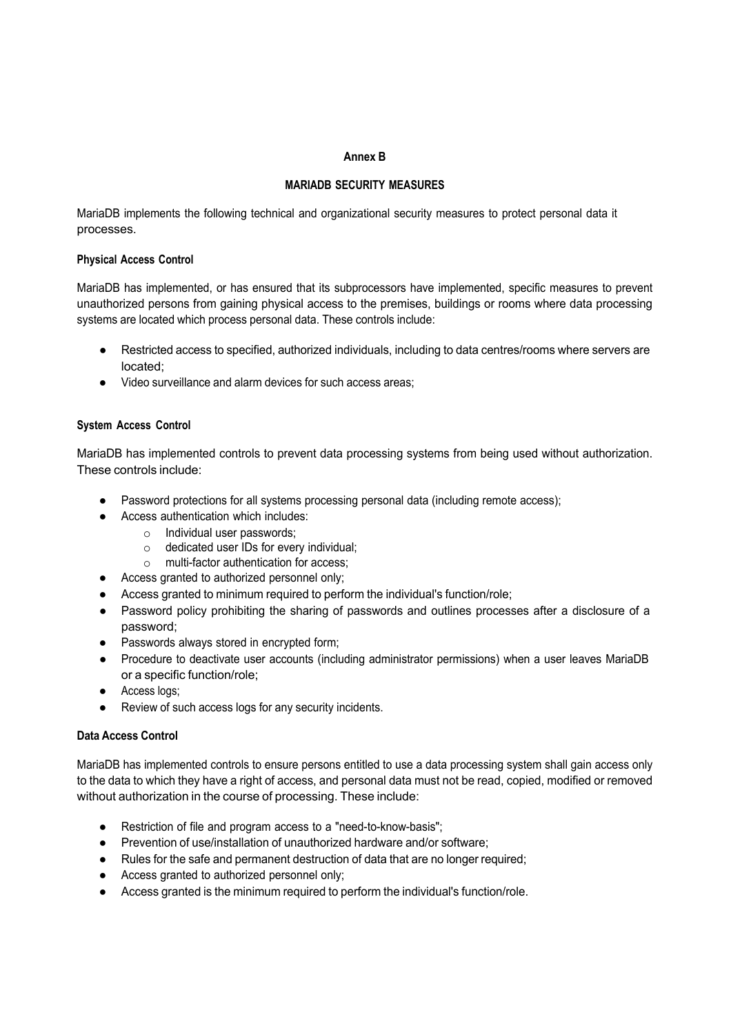#### **Annex B**

# **MARIADB SECURITY MEASURES**

MariaDB implements the following technical and organizational security measures to protect personal data it processes.

### **Physical Access Control**

MariaDB has implemented, or has ensured that its subprocessors have implemented, specific measures to prevent unauthorized persons from gaining physical access to the premises, buildings or rooms where data processing systems are located which process personal data. These controls include:

- Restricted access to specified, authorized individuals, including to data centres/rooms where servers are located;
- Video surveillance and alarm devices for such access areas;

# **System Access Control**

MariaDB has implemented controls to prevent data processing systems from being used without authorization. These controls include:

- Password protections for all systems processing personal data (including remote access);
	- Access authentication which includes:
		- o Individual user passwords;
		- o dedicated user IDs for every individual;
		- o multi-factor authentication for access;
- Access granted to authorized personnel only;
- Access granted to minimum required to perform the individual's function/role;
- Password policy prohibiting the sharing of passwords and outlines processes after a disclosure of a password;
- Passwords always stored in encrypted form;
- Procedure to deactivate user accounts (including administrator permissions) when a user leaves MariaDB or a specific function/role;
- Access logs;
- Review of such access logs for any security incidents.

# **Data Access Control**

MariaDB has implemented controls to ensure persons entitled to use a data processing system shall gain access only to the data to which they have a right of access, and personal data must not be read, copied, modified or removed without authorization in the course of processing. These include:

- Restriction of file and program access to a "need-to-know-basis";
- Prevention of use/installation of unauthorized hardware and/or software;
- Rules for the safe and permanent destruction of data that are no longer required;
- Access granted to authorized personnel only;
- Access granted is the minimum required to perform the individual's function/role.